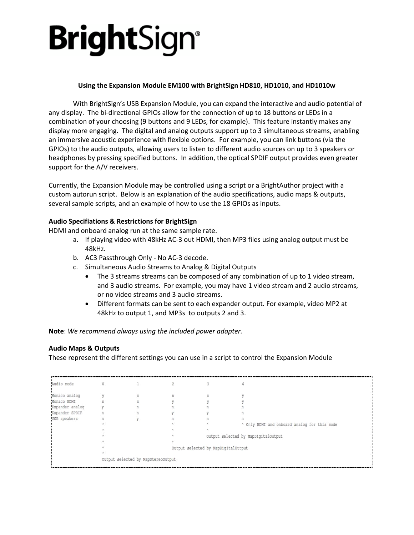# **Bright**Sign<sup>®</sup>

# **Using the Expansion Module EM100 with BrightSign HD810, HD1010, and HD1010w**

With BrightSign's USB Expansion Module, you can expand the interactive and audio potential of any display. The bi-directional GPIOs allow for the connection of up to 18 buttons or LEDs in a combination of your choosing (9 buttons and 9 LEDs, for example). This feature instantly makes any display more engaging. The digital and analog outputs support up to 3 simultaneous streams, enabling an immersive acoustic experience with flexible options. For example, you can link buttons (via the GPIOs) to the audio outputs, allowing users to listen to different audio sources on up to 3 speakers or headphones by pressing specified buttons. In addition, the optical SPDIF output provides even greater support for the A/V receivers.

Currently, the Expansion Module may be controlled using a script or a BrightAuthor project with a custom autorun script. Below is an explanation of the audio specifications, audio maps & outputs, several sample scripts, and an example of how to use the 18 GPIOs as inputs.

## **Audio Specifiations & Restrictions for BrightSign**

HDMI and onboard analog run at the same sample rate.

- a. If playing video with 48kHz AC-3 out HDMI, then MP3 files using analog output must be 48kHz.
- b. AC3 Passthrough Only No AC-3 decode.
- c. Simultaneous Audio Streams to Analog & Digital Outputs
	- The 3 streams streams can be composed of any combination of up to 1 video stream, and 3 audio streams. For example, you may have 1 video stream and 2 audio streams, or no video streams and 3 audio streams.
	- Different formats can be sent to each expander output. For example, video MP2 at 48kHz to output 1, and MP3s to outputs 2 and 3.

**Note**: *We recommend always using the included power adapter.*

## **Audio Maps & Outputs**

These represent the different settings you can use in a script to control the Expansion Module

| Audio mode      |                                    |  |  |                                     |                                              |  |  |
|-----------------|------------------------------------|--|--|-------------------------------------|----------------------------------------------|--|--|
|                 |                                    |  |  |                                     |                                              |  |  |
| Monaco analog   |                                    |  |  | n                                   |                                              |  |  |
| Monaco HDMI     | п                                  |  |  |                                     |                                              |  |  |
| Expander analog |                                    |  |  |                                     |                                              |  |  |
| Expander SPDIF  |                                    |  |  |                                     |                                              |  |  |
| USB speakers    |                                    |  |  |                                     |                                              |  |  |
|                 |                                    |  |  |                                     | ^ Only HDMI and onboard analog for this mode |  |  |
|                 |                                    |  |  |                                     |                                              |  |  |
|                 |                                    |  |  | Output selected by MapDigitalOutput |                                              |  |  |
|                 |                                    |  |  |                                     |                                              |  |  |
|                 |                                    |  |  | Output selected by MapDigitalOutput |                                              |  |  |
|                 |                                    |  |  |                                     |                                              |  |  |
|                 | Output selected by MapStereoOutput |  |  |                                     |                                              |  |  |
|                 |                                    |  |  |                                     |                                              |  |  |
|                 |                                    |  |  |                                     |                                              |  |  |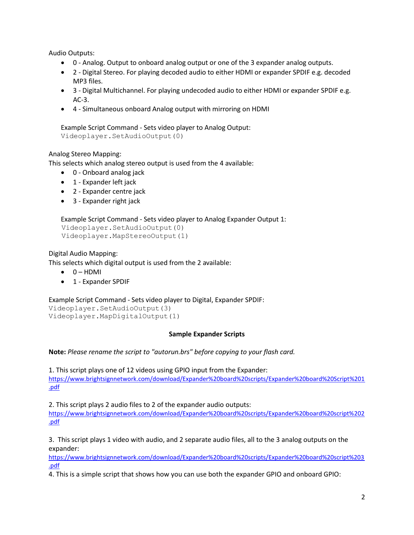Audio Outputs:

- 0 Analog. Output to onboard analog output or one of the 3 expander analog outputs.
- 2 Digital Stereo. For playing decoded audio to either HDMI or expander SPDIF e.g. decoded MP3 files.
- 3 Digital Multichannel. For playing undecoded audio to either HDMI or expander SPDIF e.g. AC-3.
- 4 Simultaneous onboard Analog output with mirroring on HDMI

Example Script Command - Sets video player to Analog Output: Videoplayer.SetAudioOutput(0)

## Analog Stereo Mapping:

This selects which analog stereo output is used from the 4 available:

- 0 Onboard analog jack
- 1 Expander left jack
- 2 Expander centre jack
- 3 Expander right jack

```
Example Script Command - Sets video player to Analog Expander Output 1:
 Videoplayer.SetAudioOutput(0)
 Videoplayer.MapStereoOutput(1)
```
Digital Audio Mapping:

This selects which digital output is used from the 2 available:

- $0 HDMI$
- 1 Expander SPDIF

Example Script Command - Sets video player to Digital, Expander SPDIF: Videoplayer.SetAudioOutput(3) Videoplayer.MapDigitalOutput(1)

### **Sample Expander Scripts**

**Note:** *Please rename the script to "autorun.brs" before copying to your flash card.*

1. This script plays one of 12 videos using GPIO input from the Expander: [https://www.brightsignnetwork.com/download/Expander%20board%20scripts/Expander%20board%20Script%201](https://www.brightsignnetwork.com/download/Expander%20board%20scripts/Expander%20board%20Script%201.pdf) [.pdf](https://www.brightsignnetwork.com/download/Expander%20board%20scripts/Expander%20board%20Script%201.pdf)

2. This script plays 2 audio files to 2 of the expander audio outputs:

[https://www.brightsignnetwork.com/download/Expander%20board%20scripts/Expander%20board%20script%202](https://www.brightsignnetwork.com/download/Expander%20board%20scripts/Expander%20board%20script%202.pdf) [.pdf](https://www.brightsignnetwork.com/download/Expander%20board%20scripts/Expander%20board%20script%202.pdf)

3. This script plays 1 video with audio, and 2 separate audio files, all to the 3 analog outputs on the expander:

[https://www.brightsignnetwork.com/download/Expander%20board%20scripts/Expander%20board%20script%203](https://www.brightsignnetwork.com/download/Expander%20board%20scripts/Expander%20board%20script%203.pdf) [.pdf](https://www.brightsignnetwork.com/download/Expander%20board%20scripts/Expander%20board%20script%203.pdf)

4. This is a simple script that shows how you can use both the expander GPIO and onboard GPIO: